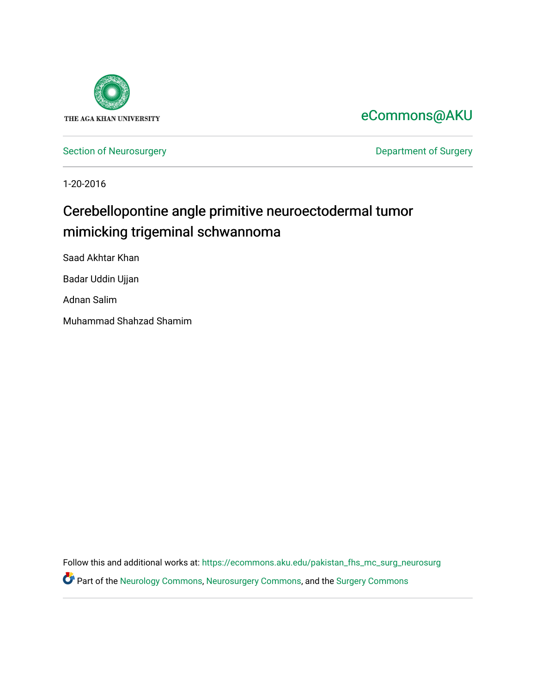

## [eCommons@AKU](https://ecommons.aku.edu/)

[Section of Neurosurgery](https://ecommons.aku.edu/pakistan_fhs_mc_surg_neurosurg) **Department of Surgery** Department of Surgery

1-20-2016

# Cerebellopontine angle primitive neuroectodermal tumor mimicking trigeminal schwannoma

Saad Akhtar Khan

Badar Uddin Ujjan

Adnan Salim

Muhammad Shahzad Shamim

Follow this and additional works at: [https://ecommons.aku.edu/pakistan\\_fhs\\_mc\\_surg\\_neurosurg](https://ecommons.aku.edu/pakistan_fhs_mc_surg_neurosurg?utm_source=ecommons.aku.edu%2Fpakistan_fhs_mc_surg_neurosurg%2F219&utm_medium=PDF&utm_campaign=PDFCoverPages)  Part of the [Neurology Commons](http://network.bepress.com/hgg/discipline/692?utm_source=ecommons.aku.edu%2Fpakistan_fhs_mc_surg_neurosurg%2F219&utm_medium=PDF&utm_campaign=PDFCoverPages), [Neurosurgery Commons](http://network.bepress.com/hgg/discipline/1428?utm_source=ecommons.aku.edu%2Fpakistan_fhs_mc_surg_neurosurg%2F219&utm_medium=PDF&utm_campaign=PDFCoverPages), and the [Surgery Commons](http://network.bepress.com/hgg/discipline/706?utm_source=ecommons.aku.edu%2Fpakistan_fhs_mc_surg_neurosurg%2F219&utm_medium=PDF&utm_campaign=PDFCoverPages)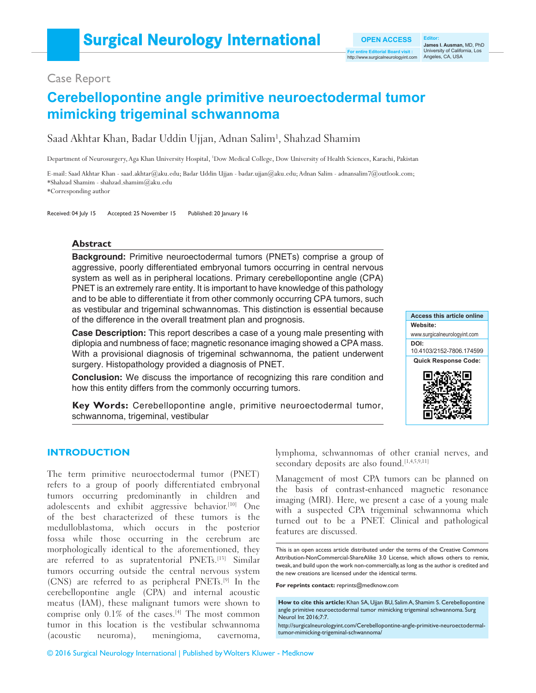Case Report

### **Cerebellopontine angle primitive neuroectodermal tumor mimicking trigeminal schwannoma**

Saad Akhtar Khan, Badar Uddin Ujjan, Adnan Salim<sup>1</sup>, Shahzad Shamim

Department of Neurosurgery, Aga Khan University Hospital, 1 Dow Medical College, Dow University of Health Sciences, Karachi, Pakistan

E-mail: Saad Akhtar Khan - saad.akhtar@aku.edu; Badar Uddin Ujjan - badar.ujjan@aku.edu; Adnan Salim - adnansalim7@outlook.com; \*Shahzad Shamim ‑ shahzad.shamim@aku.edu

\*Corresponding author

Received: 04 July 15 Accepted: 25 November 15 Published: 20 January 16

#### **Abstract**

**Background:** Primitive neuroectodermal tumors (PNETs) comprise a group of aggressive, poorly differentiated embryonal tumors occurring in central nervous system as well as in peripheral locations. Primary cerebellopontine angle (CPA) PNET is an extremely rare entity. It is important to have knowledge of this pathology and to be able to differentiate it from other commonly occurring CPA tumors, such as vestibular and trigeminal schwannomas. This distinction is essential because of the difference in the overall treatment plan and prognosis.

**Case Description:** This report describes a case of a young male presenting with diplopia and numbness of face; magnetic resonance imaging showed a CPA mass. With a provisional diagnosis of trigeminal schwannoma, the patient underwent surgery. Histopathology provided a diagnosis of PNET.

**Conclusion:** We discuss the importance of recognizing this rare condition and how this entity differs from the commonly occurring tumors.



**James I. Ausman,** MD, PhD University of California, Los

http://www.surgicalneurologyint.com Angeles, CA, USA

**OPEN ACCESS For entire Editorial Board visit :**

**Key Words:** Cerebellopontine angle, primitive neuroectodermal tumor, schwannoma, trigeminal, vestibular

#### **INTRODUCTION**

The term primitive neuroectodermal tumor (PNET) refers to a group of poorly differentiated embryonal tumors occurring predominantly in children and adolescents and exhibit aggressive behavior.<sup>[10]</sup> One of the best characterized of these tumors is the medulloblastoma, which occurs in the posterior fossa while those occurring in the cerebrum are morphologically identical to the aforementioned, they are referred to as supratentorial PNETs.[13] Similar tumors occurring outside the central nervous system (CNS) are referred to as peripheral PNETs.[9] In the cerebellopontine angle (CPA) and internal acoustic meatus (IAM), these malignant tumors were shown to comprise only  $0.1\%$  of the cases.<sup>[4]</sup> The most common tumor in this location is the vestibular schwannoma (acoustic neuroma), meningioma, cavernoma,

lymphoma, schwannomas of other cranial nerves, and secondary deposits are also found.<sup>[1,4,5,9,11]</sup>

Management of most CPA tumors can be planned on the basis of contrast‑enhanced magnetic resonance imaging (MRI). Here, we present a case of a young male with a suspected CPA trigeminal schwannoma which turned out to be a PNET. Clinical and pathological features are discussed.

**For reprints contact:** reprints@medknow.com

**How to cite this article:** Khan SA, Ujjan BU, Salim A, Shamim S. Cerebellopontine angle primitive neuroectodermal tumor mimicking trigeminal schwannoma. Surg Neurol Int 2016;7:7.

http://surgicalneurologyint.com/Cerebellopontine-angle-primitive-neuroectodermaltumor-mimicking-trigeminal-schwannoma/

This is an open access article distributed under the terms of the Creative Commons Attribution-NonCommercial-ShareAlike 3.0 License, which allows others to remix, tweak, and build upon the work non-commercially, as long as the author is credited and the new creations are licensed under the identical terms.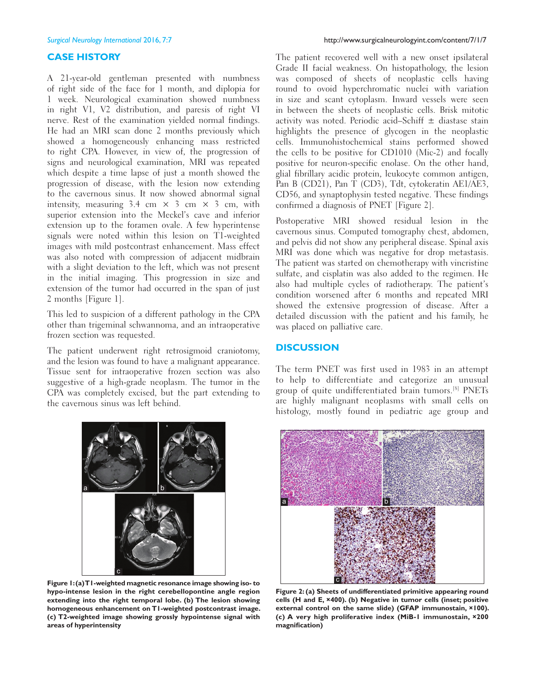#### **CASE HISTORY**

A 21‑year‑old gentleman presented with numbness of right side of the face for 1 month, and diplopia for 1 week. Neurological examination showed numbness in right V1, V2 distribution, and paresis of right VI nerve. Rest of the examination yielded normal findings. He had an MRI scan done 2 months previously which showed a homogeneously enhancing mass restricted to right CPA. However, in view of, the progression of signs and neurological examination, MRI was repeated which despite a time lapse of just a month showed the progression of disease, with the lesion now extending to the cavernous sinus. It now showed abnormal signal intensity, measuring  $3.4 \text{ cm} \times 3 \text{ cm} \times 3 \text{ cm}$ , with superior extension into the Meckel's cave and inferior extension up to the foramen ovale. A few hyperintense signals were noted within this lesion on T1‑weighted images with mild postcontrast enhancement. Mass effect was also noted with compression of adjacent midbrain with a slight deviation to the left, which was not present in the initial imaging. This progression in size and extension of the tumor had occurred in the span of just 2 months [Figure 1].

This led to suspicion of a different pathology in the CPA other than trigeminal schwannoma, and an intraoperative frozen section was requested.

The patient underwent right retrosigmoid craniotomy, and the lesion was found to have a malignant appearance. Tissue sent for intraoperative frozen section was also suggestive of a high-grade neoplasm. The tumor in the CPA was completely excised, but the part extending to the cavernous sinus was left behind.



**Figure 1: (a) T1-weighted magnetic resonance image showing iso- to hypo-intense lesion in the right cerebellopontine angle region extending into the right temporal lobe. (b) The lesion showing homogeneous enhancement on T1-weighted postcontrast image. (c) T2-weighted image showing grossly hypointense signal with areas of hyperintensity**

The patient recovered well with a new onset ipsilateral Grade II facial weakness. On histopathology, the lesion was composed of sheets of neoplastic cells having round to ovoid hyperchromatic nuclei with variation in size and scant cytoplasm. Inward vessels were seen in between the sheets of neoplastic cells. Brisk mitotic activity was noted. Periodic acid–Schiff  $\pm$  diastase stain highlights the presence of glycogen in the neoplastic cells. Immunohistochemical stains performed showed the cells to be positive for CD1010 (Mic‑2) and focally positive for neuron-specific enolase. On the other hand, glial fibrillary acidic protein, leukocyte common antigen, Pan B (CD21), Pan T (CD3), Tdt, cytokeratin AE1/AE3, CD56, and synaptophysin tested negative. These findings confirmed a diagnosis of PNET [Figure 2].

Postoperative MRI showed residual lesion in the cavernous sinus. Computed tomography chest, abdomen, and pelvis did not show any peripheral disease. Spinal axis MRI was done which was negative for drop metastasis. The patient was started on chemotherapy with vincristine sulfate, and cisplatin was also added to the regimen. He also had multiple cycles of radiotherapy. The patient's condition worsened after 6 months and repeated MRI showed the extensive progression of disease. After a detailed discussion with the patient and his family, he was placed on palliative care.

#### **DISCUSSION**

The term PNET was first used in 1983 in an attempt to help to differentiate and categorize an unusual group of quite undifferentiated brain tumors.[8] PNETs are highly malignant neoplasms with small cells on histology, mostly found in pediatric age group and



**Figure 2: (a) Sheets of undifferentiated primitive appearing round cells (H and E, ×400). (b) Negative in tumor cells (inset; positive external control on the same slide) (GFAP immunostain, ×100). (c) A very high proliferative index (MiB-1 immunostain, ×200 magnification)**